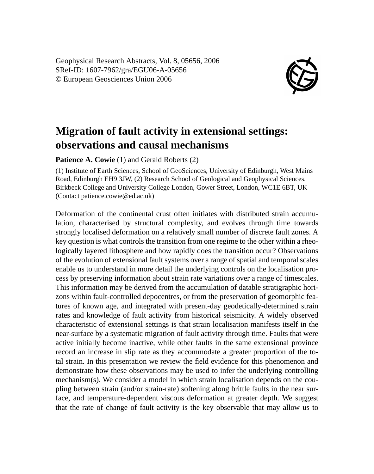Geophysical Research Abstracts, Vol. 8, 05656, 2006 SRef-ID: 1607-7962/gra/EGU06-A-05656 © European Geosciences Union 2006



## **Migration of fault activity in extensional settings: observations and causal mechanisms**

**Patience A. Cowie** (1) and Gerald Roberts (2)

(1) Institute of Earth Sciences, School of GeoSciences, University of Edinburgh, West Mains Road, Edinburgh EH9 3JW, (2) Research School of Geological and Geophysical Sciences, Birkbeck College and University College London, Gower Street, London, WC1E 6BT, UK (Contact patience.cowie@ed.ac.uk)

Deformation of the continental crust often initiates with distributed strain accumulation, characterised by structural complexity, and evolves through time towards strongly localised deformation on a relatively small number of discrete fault zones. A key question is what controls the transition from one regime to the other within a rheologically layered lithosphere and how rapidly does the transition occur? Observations of the evolution of extensional fault systems over a range of spatial and temporal scales enable us to understand in more detail the underlying controls on the localisation process by preserving information about strain rate variations over a range of timescales. This information may be derived from the accumulation of datable stratigraphic horizons within fault-controlled depocentres, or from the preservation of geomorphic features of known age, and integrated with present-day geodetically-determined strain rates and knowledge of fault activity from historical seismicity. A widely observed characteristic of extensional settings is that strain localisation manifests itself in the near-surface by a systematic migration of fault activity through time. Faults that were active initially become inactive, while other faults in the same extensional province record an increase in slip rate as they accommodate a greater proportion of the total strain. In this presentation we review the field evidence for this phenomenon and demonstrate how these observations may be used to infer the underlying controlling mechanism(s). We consider a model in which strain localisation depends on the coupling between strain (and/or strain-rate) softening along brittle faults in the near surface, and temperature-dependent viscous deformation at greater depth. We suggest that the rate of change of fault activity is the key observable that may allow us to